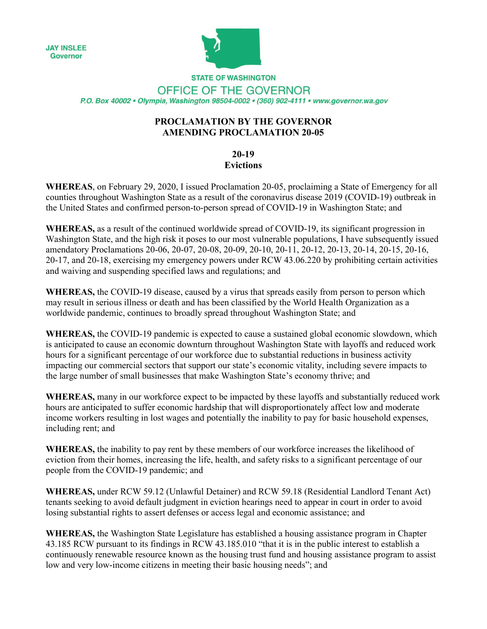**JAY INSLEE** Governor



**STATE OF WASHINGTON** OFFICE OF THE GOVERNOR P.O. Box 40002 · Olympia, Washington 98504-0002 · (360) 902-4111 · www.governor.wa.gov

## **PROCLAMATION BY THE GOVERNOR AMENDING PROCLAMATION 20-05**

## **20-19**

## **Evictions**

**WHEREAS**, on February 29, 2020, I issued Proclamation 20-05, proclaiming a State of Emergency for all counties throughout Washington State as a result of the coronavirus disease 2019 (COVID-19) outbreak in the United States and confirmed person-to-person spread of COVID-19 in Washington State; and

**WHEREAS,** as a result of the continued worldwide spread of COVID-19, its significant progression in Washington State, and the high risk it poses to our most vulnerable populations, I have subsequently issued amendatory Proclamations 20-06, 20-07, 20-08, 20-09, 20-10, 20-11, 20-12, 20-13, 20-14, 20-15, 20-16, 20-17, and 20-18, exercising my emergency powers under RCW 43.06.220 by prohibiting certain activities and waiving and suspending specified laws and regulations; and

**WHEREAS,** the COVID-19 disease, caused by a virus that spreads easily from person to person which may result in serious illness or death and has been classified by the World Health Organization as a worldwide pandemic, continues to broadly spread throughout Washington State; and

**WHEREAS,** the COVID-19 pandemic is expected to cause a sustained global economic slowdown, which is anticipated to cause an economic downturn throughout Washington State with layoffs and reduced work hours for a significant percentage of our workforce due to substantial reductions in business activity impacting our commercial sectors that support our state's economic vitality, including severe impacts to the large number of small businesses that make Washington State's economy thrive; and

**WHEREAS,** many in our workforce expect to be impacted by these layoffs and substantially reduced work hours are anticipated to suffer economic hardship that will disproportionately affect low and moderate income workers resulting in lost wages and potentially the inability to pay for basic household expenses, including rent; and

**WHEREAS,** the inability to pay rent by these members of our workforce increases the likelihood of eviction from their homes, increasing the life, health, and safety risks to a significant percentage of our people from the COVID-19 pandemic; and

**WHEREAS,** under RCW 59.12 (Unlawful Detainer) and RCW 59.18 (Residential Landlord Tenant Act) tenants seeking to avoid default judgment in eviction hearings need to appear in court in order to avoid losing substantial rights to assert defenses or access legal and economic assistance; and

**WHEREAS,** the Washington State Legislature has established a housing assistance program in Chapter 43.185 RCW pursuant to its findings in RCW 43.185.010 "that it is in the public interest to establish a continuously renewable resource known as the housing trust fund and housing assistance program to assist low and very low-income citizens in meeting their basic housing needs"; and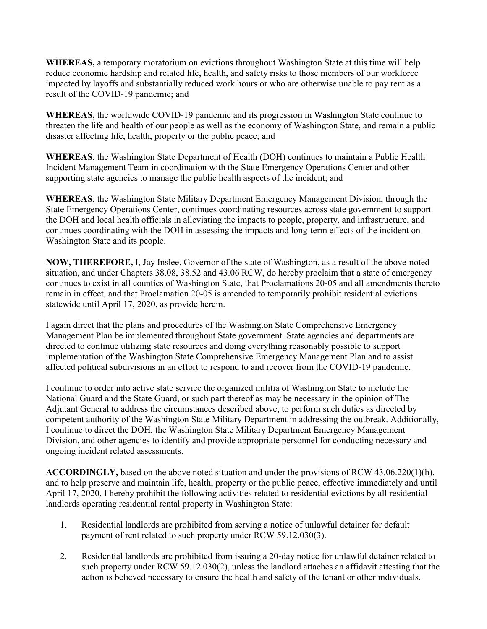**WHEREAS,** a temporary moratorium on evictions throughout Washington State at this time will help reduce economic hardship and related life, health, and safety risks to those members of our workforce impacted by layoffs and substantially reduced work hours or who are otherwise unable to pay rent as a result of the COVID-19 pandemic; and

**WHEREAS,** the worldwide COVID-19 pandemic and its progression in Washington State continue to threaten the life and health of our people as well as the economy of Washington State, and remain a public disaster affecting life, health, property or the public peace; and

**WHEREAS**, the Washington State Department of Health (DOH) continues to maintain a Public Health Incident Management Team in coordination with the State Emergency Operations Center and other supporting state agencies to manage the public health aspects of the incident; and

**WHEREAS**, the Washington State Military Department Emergency Management Division, through the State Emergency Operations Center, continues coordinating resources across state government to support the DOH and local health officials in alleviating the impacts to people, property, and infrastructure, and continues coordinating with the DOH in assessing the impacts and long-term effects of the incident on Washington State and its people.

**NOW, THEREFORE,** I, Jay Inslee, Governor of the state of Washington, as a result of the above-noted situation, and under Chapters 38.08, 38.52 and 43.06 RCW, do hereby proclaim that a state of emergency continues to exist in all counties of Washington State, that Proclamations 20-05 and all amendments thereto remain in effect, and that Proclamation 20-05 is amended to temporarily prohibit residential evictions statewide until April 17, 2020, as provide herein.

I again direct that the plans and procedures of the Washington State Comprehensive Emergency Management Plan be implemented throughout State government. State agencies and departments are directed to continue utilizing state resources and doing everything reasonably possible to support implementation of the Washington State Comprehensive Emergency Management Plan and to assist affected political subdivisions in an effort to respond to and recover from the COVID-19 pandemic.

I continue to order into active state service the organized militia of Washington State to include the National Guard and the State Guard, or such part thereof as may be necessary in the opinion of The Adjutant General to address the circumstances described above, to perform such duties as directed by competent authority of the Washington State Military Department in addressing the outbreak. Additionally, I continue to direct the DOH, the Washington State Military Department Emergency Management Division, and other agencies to identify and provide appropriate personnel for conducting necessary and ongoing incident related assessments.

**ACCORDINGLY,** based on the above noted situation and under the provisions of RCW 43.06.220(1)(h), and to help preserve and maintain life, health, property or the public peace, effective immediately and until April 17, 2020, I hereby prohibit the following activities related to residential evictions by all residential landlords operating residential rental property in Washington State:

- 1. Residential landlords are prohibited from serving a notice of unlawful detainer for default payment of rent related to such property under RCW 59.12.030(3).
- 2. Residential landlords are prohibited from issuing a 20-day notice for unlawful detainer related to such property under RCW 59.12.030(2), unless the landlord attaches an affidavit attesting that the action is believed necessary to ensure the health and safety of the tenant or other individuals.